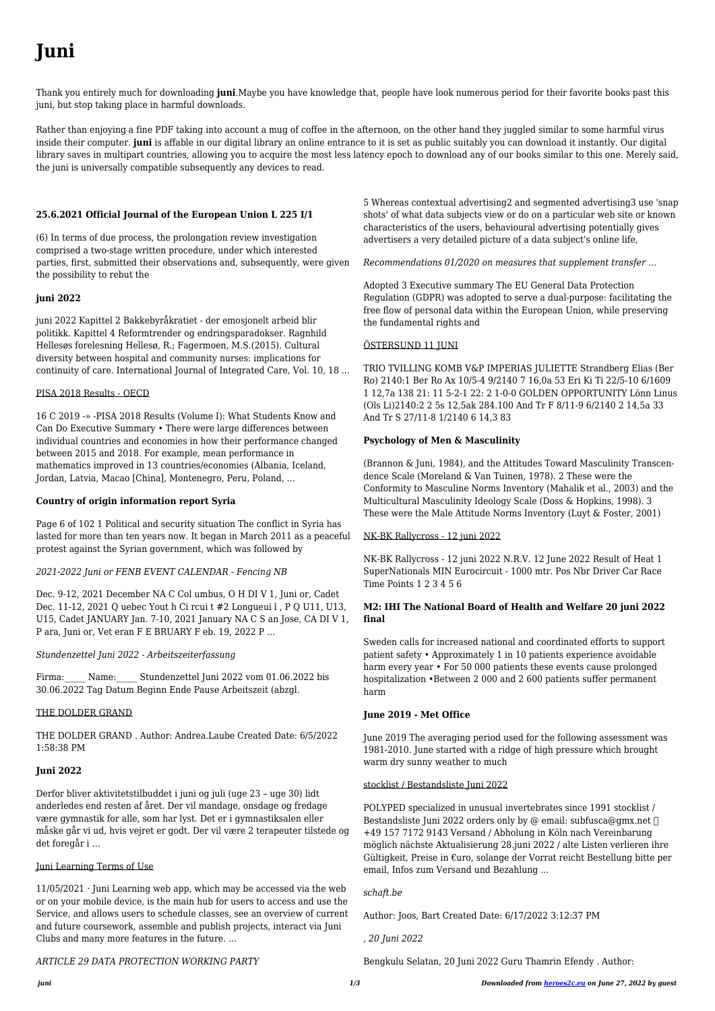# **Juni**

Thank you entirely much for downloading **juni**.Maybe you have knowledge that, people have look numerous period for their favorite books past this juni, but stop taking place in harmful downloads.

Rather than enjoying a fine PDF taking into account a mug of coffee in the afternoon, on the other hand they juggled similar to some harmful virus inside their computer. **juni** is affable in our digital library an online entrance to it is set as public suitably you can download it instantly. Our digital library saves in multipart countries, allowing you to acquire the most less latency epoch to download any of our books similar to this one. Merely said, the juni is universally compatible subsequently any devices to read.

# **25.6.2021 Official Journal of the European Union L 225 I/1**

(6) In terms of due process, the prolongation review investigation comprised a two-stage written procedure, under which interested parties, first, submitted their observations and, subsequently, were given the possibility to rebut the

## **juni 2022**

juni 2022 Kapittel 2 Bakkebyråkratiet - der emosjonelt arbeid blir politikk. Kapittel 4 Reformtrender og endringsparadokser. Ragnhild Hellesøs forelesning Hellesø, R.; Fagermoen, M.S.(2015). Cultural diversity between hospital and community nurses: implications for continuity of care. International Journal of Integrated Care, Vol. 10, 18 ...

Firma: Name: Stundenzettel Juni 2022 vom 01.06.2022 bis 30.06.2022 Tag Datum Beginn Ende Pause Arbeitszeit (abzgl.

## PISA 2018 Results - OECD

16 C 2019 -» -PISA 2018 Results (Volume I): What Students Know and Can Do Executive Summary • There were large differences between individual countries and economies in how their performance changed between 2015 and 2018. For example, mean performance in mathematics improved in 13 countries/economies (Albania, Iceland, Jordan, Latvia, Macao [China], Montenegro, Peru, Poland, …

 $11/05/2021$  · Juni Learning web app, which may be accessed via the web or on your mobile device, is the main hub for users to access and use the Service, and allows users to schedule classes, see an overview of current and future coursework, assemble and publish projects, interact via Juni Clubs and many more features in the future. ...

## **Country of origin information report Syria**

Page 6 of 102 1 Political and security situation The conflict in Syria has lasted for more than ten years now. It began in March 2011 as a peaceful protest against the Syrian government, which was followed by

## *2021-2022 Juni or FENB EVENT CALENDAR - Fencing NB*

Dec. 9-12, 2021 December NA C Col umbus, O H DI V 1, Juni or, Cadet Dec. 11-12, 2021 Q uebec Yout h Ci rcui t #2 Longueui l , P Q U11, U13, U15, Cadet JANUARY Jan. 7-10, 2021 January NA C S an Jose, CA DI V 1, P ara, Juni or, Vet eran F E BRUARY F eb. 19, 2022 P …

## *Stundenzettel Juni 2022 - Arbeitszeiterfassung*

## THE DOLDER GRAND

THE DOLDER GRAND . Author: Andrea.Laube Created Date: 6/5/2022 1:58:38 PM

#### **Juni 2022**

Derfor bliver aktivitetstilbuddet i juni og juli (uge 23 – uge 30) lidt anderledes end resten af året. Der vil mandage, onsdage og fredage være gymnastik for alle, som har lyst. Det er i gymnastiksalen eller måske går vi ud, hvis vejret er godt. Der vil være 2 terapeuter tilstede og det foregår i …

Juni Learning Terms of Use

*ARTICLE 29 DATA PROTECTION WORKING PARTY*

5 Whereas contextual advertising2 and segmented advertising3 use 'snap shots' of what data subjects view or do on a particular web site or known characteristics of the users, behavioural advertising potentially gives advertisers a very detailed picture of a data subject's online life,

*Recommendations 01/2020 on measures that supplement transfer …*

Adopted 3 Executive summary The EU General Data Protection Regulation (GDPR) was adopted to serve a dual-purpose: facilitating the free flow of personal data within the European Union, while preserving the fundamental rights and

## ÖSTERSUND 11 JUNI

TRIO TVILLING KOMB V&P IMPERIAS JULIETTE Strandberg Elias (Ber Ro) 2140:1 Ber Ro Ax 10/5-4 9/2140 7 16,0a 53 Eri Ki Ti 22/5-10 6/1609 1 12,7a 138 21: 11 5-2-1 22: 2 1-0-0 GOLDEN OPPORTUNITY Lönn Linus (Ols Li)2140:2 2 5s 12,5ak 284.100 And Tr F 8/11-9 6/2140 2 14,5a 33 And Tr S 27/11-8 1/2140 6 14,3 83

## **Psychology of Men & Masculinity**

(Brannon & Juni, 1984), and the Attitudes Toward Masculinity Transcendence Scale (Moreland & Van Tuinen, 1978). 2 These were the Conformity to Masculine Norms Inventory (Mahalik et al., 2003) and the Multicultural Masculinity Ideology Scale (Doss & Hopkins, 1998). 3 These were the Male Attitude Norms Inventory (Luyt & Foster, 2001)

## NK-BK Rallycross - 12 juni 2022

NK-BK Rallycross - 12 juni 2022 N.R.V. 12 June 2022 Result of Heat 1 SuperNationals MIN Eurocircuit - 1000 mtr. Pos Nbr Driver Car Race Time Points 1 2 3 4 5 6

# **M2: IHI The National Board of Health and Welfare 20 juni 2022 final**

Sweden calls for increased national and coordinated efforts to support patient safety • Approximately 1 in 10 patients experience avoidable harm every year • For 50 000 patients these events cause prolonged hospitalization •Between 2 000 and 2 600 patients suffer permanent harm

## **June 2019 - Met Office**

June 2019 The averaging period used for the following assessment was 1981-2010. June started with a ridge of high pressure which brought warm dry sunny weather to much

#### stocklist / Bestandsliste Juni 2022

POLYPED specialized in unusual invertebrates since 1991 stocklist / Bestandsliste Juni 2022 orders only by @ email: subfusca@gmx.net  $\Box$ +49 157 7172 9143 Versand / Abholung in Köln nach Vereinbarung möglich nächste Aktualisierung 28.juni 2022 / alte Listen verlieren ihre Gültigkeit, Preise in €uro, solange der Vorrat reicht Bestellung bitte per email, Infos zum Versand und Bezahlung ...

*schaft.be*

Author: Joos, Bart Created Date: 6/17/2022 3:12:37 PM

*, 20 Juni 2022*

Bengkulu Selatan, 20 Juni 2022 Guru Thamrin Efendy . Author: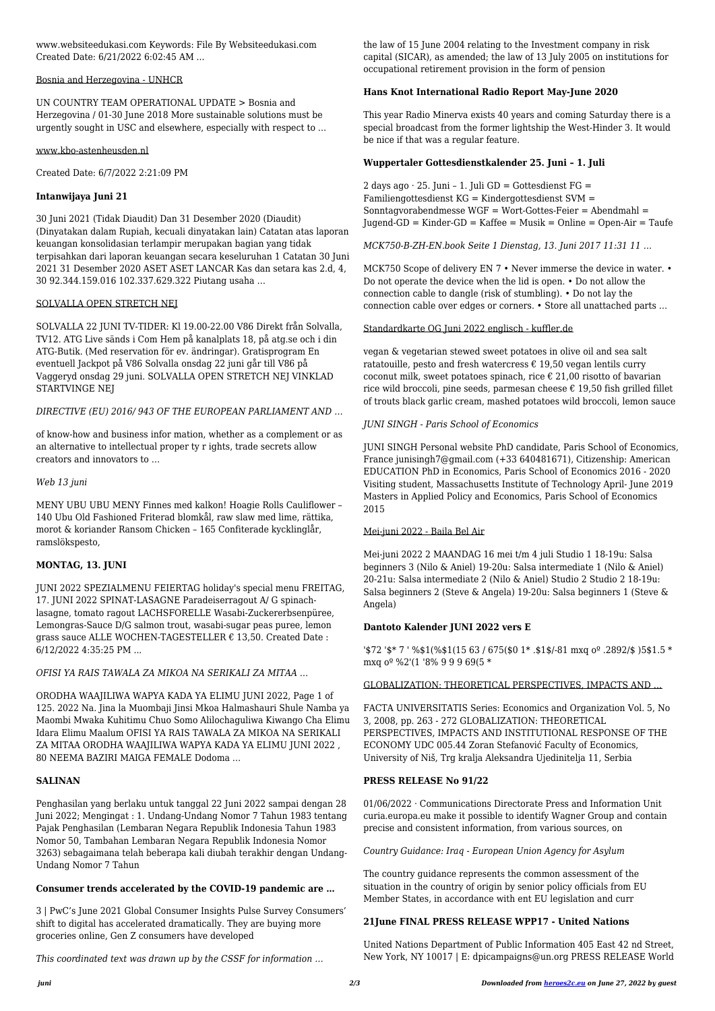www.websiteedukasi.com Keywords: File By Websiteedukasi.com Created Date: 6/21/2022 6:02:45 AM ...

#### Bosnia and Herzegovina - UNHCR

UN COUNTRY TEAM OPERATIONAL UPDATE > Bosnia and Herzegovina / 01-30 June 2018 More sustainable solutions must be urgently sought in USC and elsewhere, especially with respect to …

#### www.kbo-astenheusden.nl

Created Date: 6/7/2022 2:21:09 PM

# **Intanwijaya Juni 21**

30 Juni 2021 (Tidak Diaudit) Dan 31 Desember 2020 (Diaudit) (Dinyatakan dalam Rupiah, kecuali dinyatakan lain) Catatan atas laporan keuangan konsolidasian terlampir merupakan bagian yang tidak terpisahkan dari laporan keuangan secara keseluruhan 1 Catatan 30 Juni 2021 31 Desember 2020 ASET ASET LANCAR Kas dan setara kas 2.d, 4, 30 92.344.159.016 102.337.629.322 Piutang usaha …

## SOLVALLA OPEN STRETCH NEJ

SOLVALLA 22 JUNI TV-TIDER: Kl 19.00-22.00 V86 Direkt från Solvalla, TV12. ATG Live sänds i Com Hem på kanalplats 18, på atg.se och i din ATG-Butik. (Med reservation för ev. ändringar). Gratisprogram En eventuell Jackpot på V86 Solvalla onsdag 22 juni går till V86 på Vaggeryd onsdag 29 juni. SOLVALLA OPEN STRETCH NEJ VINKLAD STARTVINGE NEJ

## *DIRECTIVE (EU) 2016/ 943 OF THE EUROPEAN PARLIAMENT AND …*

of know-how and business infor mation, whether as a complement or as an alternative to intellectual proper ty r ights, trade secrets allow creators and innovators to …

## *Web 13 juni*

MENY UBU UBU MENY Finnes med kalkon! Hoagie Rolls Cauliflower – 140 Ubu Old Fashioned Friterad blomkål, raw slaw med lime, rättika, morot & koriander Ransom Chicken – 165 Confiterade kycklinglår, ramslökspesto,

# **MONTAG, 13. JUNI**

JUNI 2022 SPEZIALMENU FEIERTAG holiday's special menu FREITAG, 17. JUNI 2022 SPINAT-LASAGNE Paradeiserragout A/ G spinachlasagne, tomato ragout LACHSFORELLE Wasabi-Zuckererbsenpüree, Lemongras-Sauce D/G salmon trout, wasabi-sugar peas puree, lemon grass sauce ALLE WOCHEN-TAGESTELLER € 13,50. Created Date : 6/12/2022 4:35:25 PM ...

2 days ago · 25. Juni - 1. Juli GD = Gottesdienst  $FG =$ Familiengottesdienst KG = Kindergottesdienst SVM = Sonntagvorabendmesse WGF = Wort-Gottes-Feier = Abendmahl = Jugend-GD = Kinder-GD = Kaffee = Musik = Online = Open-Air = Taufe

## *OFISI YA RAIS TAWALA ZA MIKOA NA SERIKALI ZA MITAA …*

ORODHA WAAJILIWA WAPYA KADA YA ELIMU JUNI 2022, Page 1 of 125. 2022 Na. Jina la Muombaji Jinsi Mkoa Halmashauri Shule Namba ya Maombi Mwaka Kuhitimu Chuo Somo Alilochaguliwa Kiwango Cha Elimu Idara Elimu Maalum OFISI YA RAIS TAWALA ZA MIKOA NA SERIKALI ZA MITAA ORODHA WAAJILIWA WAPYA KADA YA ELIMU JUNI 2022 , 80 NEEMA BAZIRI MAIGA FEMALE Dodoma …

## **SALINAN**

Penghasilan yang berlaku untuk tanggal 22 Juni 2022 sampai dengan 28 Juni 2022; Mengingat : 1. Undang-Undang Nomor 7 Tahun 1983 tentang Pajak Penghasilan (Lembaran Negara Republik Indonesia Tahun 1983 Nomor 50, Tambahan Lembaran Negara Republik Indonesia Nomor 3263) sebagaimana telah beberapa kali diubah terakhir dengan Undang-Undang Nomor 7 Tahun

#### **Consumer trends accelerated by the COVID-19 pandemic are …**

3 | PwC's June 2021 Global Consumer Insights Pulse Survey Consumers' shift to digital has accelerated dramatically. They are buying more groceries online, Gen Z consumers have developed

*This coordinated text was drawn up by the CSSF for information …*

the law of 15 June 2004 relating to the Investment company in risk capital (SICAR), as amended; the law of 13 July 2005 on institutions for occupational retirement provision in the form of pension

## **Hans Knot International Radio Report May-June 2020**

This year Radio Minerva exists 40 years and coming Saturday there is a special broadcast from the former lightship the West-Hinder 3. It would be nice if that was a regular feature.

#### **Wuppertaler Gottesdienstkalender 25. Juni – 1. Juli**

*MCK750-B-ZH-EN.book Seite 1 Dienstag, 13. Juni 2017 11:31 11 …*

MCK750 Scope of delivery EN 7 • Never immerse the device in water. • Do not operate the device when the lid is open. • Do not allow the connection cable to dangle (risk of stumbling). • Do not lay the connection cable over edges or corners. • Store all unattached parts …

#### Standardkarte OG Juni 2022 englisch - kuffler.de

vegan & vegetarian stewed sweet potatoes in olive oil and sea salt ratatouille, pesto and fresh watercress  $\epsilon$  19,50 vegan lentils curry coconut milk, sweet potatoes spinach, rice  $\epsilon$  21,00 risotto of bavarian rice wild broccoli, pine seeds, parmesan cheese  $\epsilon$  19,50 fish grilled fillet of trouts black garlic cream, mashed potatoes wild broccoli, lemon sauce

## *JUNI SINGH - Paris School of Economics*

JUNI SINGH Personal website PhD candidate, Paris School of Economics, France junisingh7@gmail.com (+33 640481671), Citizenship: American EDUCATION PhD in Economics, Paris School of Economics 2016 - 2020 Visiting student, Massachusetts Institute of Technology April- June 2019 Masters in Applied Policy and Economics, Paris School of Economics 2015

## Mei-juni 2022 - Baila Bel Air

Mei-juni 2022 2 MAANDAG 16 mei t/m 4 juli Studio 1 18-19u: Salsa beginners 3 (Nilo & Aniel) 19-20u: Salsa intermediate 1 (Nilo & Aniel) 20-21u: Salsa intermediate 2 (Nilo & Aniel) Studio 2 Studio 2 18-19u: Salsa beginners 2 (Steve & Angela) 19-20u: Salsa beginners 1 (Steve & Angela)

## **Dantoto Kalender JUNI 2022 vers E**

'\$72 '\$\* 7 ' %\$1(%\$1(15 63 / 675(\$0 1\* .\$1\$/-81 mxq oº .2892/\$ )5\$1.5 \* mxq oº %2'(1 '8% 9 9 9 69(5 \*

## GLOBALIZATION: THEORETICAL PERSPECTIVES, IMPACTS AND …

FACTA UNIVERSITATIS Series: Economics and Organization Vol. 5, No 3, 2008, pp. 263 - 272 GLOBALIZATION: THEORETICAL PERSPECTIVES, IMPACTS AND INSTITUTIONAL RESPONSE OF THE ECONOMY UDC 005.44 Zoran Stefanović Faculty of Economics, University of Niš, Trg kralja Aleksandra Ujedinitelja 11, Serbia

#### **PRESS RELEASE No 91/22**

01/06/2022 · Communications Directorate Press and Information Unit curia.europa.eu make it possible to identify Wagner Group and contain precise and consistent information, from various sources, on

*Country Guidance: Iraq - European Union Agency for Asylum*

The country guidance represents the common assessment of the situation in the country of origin by senior policy officials from EU Member States, in accordance with ent EU legislation and curr

# **21June FINAL PRESS RELEASE WPP17 - United Nations**

United Nations Department of Public Information 405 East 42 nd Street, New York, NY 10017 | E: dpicampaigns@un.org PRESS RELEASE World